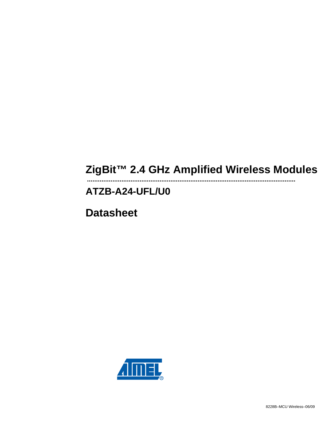# **ZigBit™ 2.4 GHz Amplified Wireless Modules**

**...................................................................................................................**

# **ATZB-A24-UFL/U0**

**Datasheet**

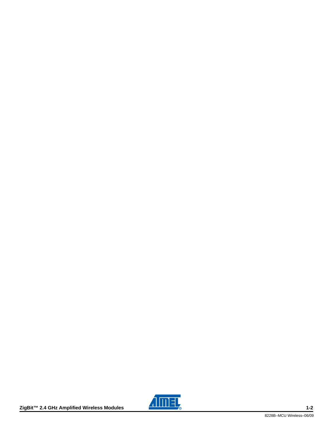

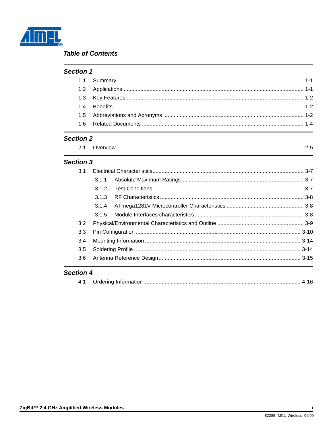

### **Table of Contents**

| <b>Section 1</b> |
|------------------|
|------------------|

### **Section 2**

### **Section 3**

| 3.1 |       |  |
|-----|-------|--|
|     | 3.1.1 |  |
|     |       |  |
|     | 3.1.3 |  |
|     | 3.1.4 |  |
|     |       |  |
| 3.2 |       |  |
| 3.3 |       |  |
| 3.4 |       |  |
| 3.5 |       |  |
| 3.6 |       |  |

## Section 4

| 4.1 |  |  |  |  |
|-----|--|--|--|--|
|-----|--|--|--|--|

 $\mathbf{i}$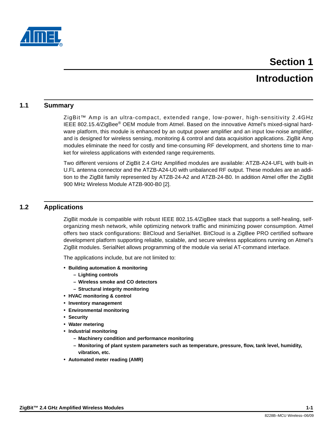<span id="page-3-0"></span>

# **Introduction**

#### <span id="page-3-1"></span>**1.1 Summary**

ZigBit™ Amp is an ultra-compact, extended range, low-power, high-sensitivity 2.4GHz IEEE 802.15.4/ZigBee® OEM module from Atmel. Based on the innovative Atmel's mixed-signal hardware platform, this module is enhanced by an output power amplifier and an input low-noise amplifier, and is designed for wireless sensing, monitoring & control and data acquisition applications. ZigBit Amp modules eliminate the need for costly and time-consuming RF development, and shortens time to market for wireless applications with extended range requirements.

Two different versions of ZigBit 2.4 GHz Amplified modules are available: ATZB-A24-UFL with built-in U.FL antenna connector and the ATZB-A24-U0 with unbalanced RF output. These modules are an addition to the ZigBit family represented by ATZB-24-A2 and ATZB-24-B0. In addition Atmel offer the ZigBit 900 MHz Wireless Module ATZB-900-B0 [2].

### <span id="page-3-2"></span>**1.2 Applications**

ZigBit module is compatible with robust IEEE 802.15.4/ZigBee stack that supports a self-healing, selforganizing mesh network, while optimizing network traffic and minimizing power consumption. Atmel offers two stack configurations: BitCloud and SerialNet. BitCloud is a ZigBee PRO certified software development platform supporting reliable, scalable, and secure wireless applications running on Atmel's ZigBit modules. SerialNet allows programming of the module via serial AT-command interface.

The applications include, but are not limited to:

- **Building automation & monitoring**
	- **Lighting controls**
	- **Wireless smoke and CO detectors**
	- **Structural integrity monitoring**
- **HVAC monitoring & control**
- **Inventory management**
- **Environmental monitoring**
- **Security**
- **Water metering**
- **Industrial monitoring**
	- **Machinery condition and performance monitoring**
	- **Monitoring of plant system parameters such as temperature, pressure, flow, tank level, humidity, vibration, etc.**
- **Automated meter reading (AMR)**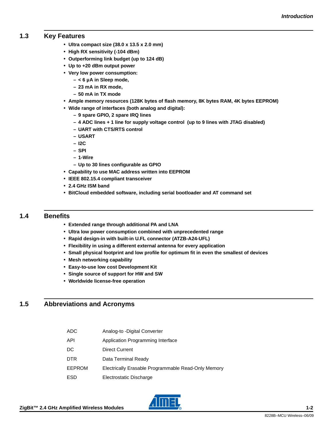### <span id="page-4-0"></span>**1.3 Key Features**

- **Ultra compact size (38.0 x 13.5 x 2.0 mm)**
- **High RX sensitivity (-104 dBm)**
- **Outperforming link budget (up to 124 dB)**
- **Up to +20 dBm output power**
- **Very low power consumption:**
	- **< 6 µA in Sleep mode,**
	- **23 mA in RX mode,**
	- **50 mA in TX mode**
- **Ample memory resources (128K bytes of flash memory, 8K bytes RAM, 4K bytes EEPROM)**
- **Wide range of interfaces (both analog and digital):**
	- **9 spare GPIO, 2 spare IRQ lines**
	- **4 ADC lines + 1 line for supply voltage control (up to 9 lines with JTAG disabled)**
	- **UART with CTS/RTS control**
	- **USART**
	- **I2C**
	- **SPI**
	- **1-Wire**
	- **Up to 30 lines configurable as GPIO**
- **Capability to use MAC address written into EEPROM**
- **IEEE 802.15.4 compliant transceiver**
- **2.4 GHz ISM band**
- **BitCloud embedded software, including serial bootloader and AT command set**

#### <span id="page-4-1"></span>**1.4 Benefits**

- **Extended range through additional PA and LNA**
- **Ultra low power consumption combined with unprecedented range**
- **Rapid design-in with built-in U.FL connector (ATZB-A24-UFL)**
- **Flexibility in using a different external antenna for every application**
- **Small physical footprint and low profile for optimum fit in even the smallest of devices**
- **Mesh networking capability**
- **Easy-to-use low cost Development Kit**
- **Single source of support for HW and SW**
- **Worldwide license-free operation**

### <span id="page-4-2"></span>**1.5 Abbreviations and Acronyms**

- ADC Analog-to -Digital Converter
- API Application Programming Interface
- DC Direct Current
- DTR Data Terminal Ready
- EEPROM Electrically Erasable Programmable Read-Only Memory
- ESD Electrostatic Discharge

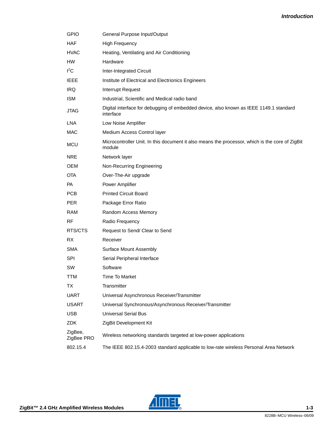| <b>GPIO</b>           | General Purpose Input/Output                                                                              |
|-----------------------|-----------------------------------------------------------------------------------------------------------|
| HAF                   | <b>High Frequency</b>                                                                                     |
| <b>HVAC</b>           | Heating, Ventilating and Air Conditioning                                                                 |
| <b>HW</b>             | Hardware                                                                                                  |
| $I^2C$                | Inter-Integrated Circuit                                                                                  |
| <b>IEEE</b>           | Institute of Electrical and Electrionics Engineers                                                        |
| IRQ                   | Interrupt Request                                                                                         |
| <b>ISM</b>            | Industrial, Scientific and Medical radio band                                                             |
| <b>JTAG</b>           | Digital interface for debugging of embedded device, also known as IEEE 1149.1 standard<br>interface       |
| <b>LNA</b>            | Low Noise Amplifier                                                                                       |
| <b>MAC</b>            | Medium Access Control layer                                                                               |
| <b>MCU</b>            | Microcontroller Unit. In this document it also means the processor, which is the core of ZigBit<br>module |
| <b>NRE</b>            | Network layer                                                                                             |
| <b>OEM</b>            | Non-Recurring Engineering                                                                                 |
| <b>OTA</b>            | Over-The-Air upgrade                                                                                      |
| PA.                   | Power Amplifier                                                                                           |
| PCB                   | <b>Printed Circuit Board</b>                                                                              |
| <b>PER</b>            | Package Error Ratio                                                                                       |
| <b>RAM</b>            | Random Access Memory                                                                                      |
| RF.                   | Radio Frequency                                                                                           |
| RTS/CTS               | Request to Send/ Clear to Send                                                                            |
| RX.                   | Receiver                                                                                                  |
| <b>SMA</b>            | Surface Mount Assembly                                                                                    |
| <b>SPI</b>            | Serial Peripheral Interface                                                                               |
| SW                    | Software                                                                                                  |
| TTM                   | Time To Market                                                                                            |
| ТX                    | Transmitter                                                                                               |
| <b>UART</b>           | Universal Asynchronous Receiver/Transmitter                                                               |
| <b>USART</b>          | Universal Synchronous/Asynchronous Receiver/Transmitter                                                   |
| <b>USB</b>            | <b>Universal Serial Bus</b>                                                                               |
| ZDK                   | ZigBit Development Kit                                                                                    |
| ZigBee,<br>ZigBee PRO | Wireless networking standards targeted at low-power applications                                          |
| 802.15.4              | The IEEE 802.15.4-2003 standard applicable to low-rate wireless Personal Area Network                     |

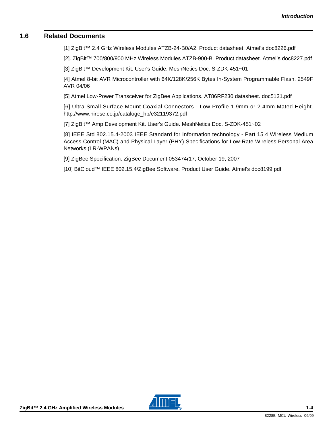### <span id="page-6-0"></span>**1.6 Related Documents**

[1] ZigBit™ 2.4 GHz Wireless Modules ATZB-24-B0/A2. Product datasheet. Atmel's doc8226.pdf

[2]. ZigBit™ 700/800/900 MHz Wireless Modules ATZB-900-B. Product datasheet. Atmel's doc8227.pdf

[3] ZigBit™ Development Kit. User's Guide. MeshNetics Doc. S-ZDK-451~01

[4] Atmel 8-bit AVR Microcontroller with 64K/128K/256K Bytes In-System Programmable Flash. 2549F AVR 04/06

[5] Atmel Low-Power Transceiver for ZigBee Applications. AT86RF230 datasheet. doc5131.pdf

[6] Ultra Small Surface Mount Coaxial Connectors - Low Profile 1.9mm or 2.4mm Mated Height. http://www.hirose.co.jp/cataloge\_hp/e32119372.pdf

[7] ZigBit™ Amp Development Kit. User's Guide. MeshNetics Doc. S-ZDK-451~02

[8] IEEE Std 802.15.4-2003 IEEE Standard for Information technology - Part 15.4 Wireless Medium Access Control (MAC) and Physical Layer (PHY) Specifications for Low-Rate Wireless Personal Area Networks (LR-WPANs)

[9] ZigBee Specification. ZigBee Document 053474r17, October 19, 2007

[10] BitCloud™ IEEE 802.15.4/ZigBee Software. Product User Guide. Atmel's doc8199.pdf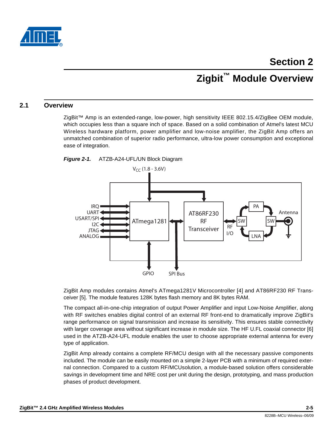<span id="page-7-0"></span>

# **Section 2**

# **Zigbit™ Module Overview**

#### <span id="page-7-1"></span>**2.1 Overview**

ZigBit™ Amp is an extended-range, low-power, high sensitivity IEEE 802.15.4/ZigBee OEM module, which occupies less than a square inch of space. Based on a solid combination of Atmel's latest MCU Wireless hardware platform, power amplifier and low-noise amplifier, the ZigBit Amp offers an unmatched combination of superior radio performance, ultra-low power consumption and exceptional ease of integration.





ZigBit Amp modules contains Atmel's ATmega1281V Microcontroller [4] and AT86RF230 RF Transceiver [5]. The module features 128K bytes flash memory and 8K bytes RAM.

The compact all-in-one-chip integration of output Power Amplifier and input Low-Noise Amplifier, along with RF switches enables digital control of an external RF front-end to dramatically improve ZigBit's range performance on signal transmission and increase its sensitivity. This ensures stable connectivity with larger coverage area without significant increase in module size. The HF U.FL coaxial connector [6] used in the ATZB-A24-UFL module enables the user to choose appropriate external antenna for every type of application.

ZigBit Amp already contains a complete RF/MCU design with all the necessary passive components included. The module can be easily mounted on a simple 2-layer PCB with a minimum of required external connection. Compared to a custom RF/MCUsolution, a module-based solution offers considerable savings in development time and NRE cost per unit during the design, prototyping, and mass production phases of product development.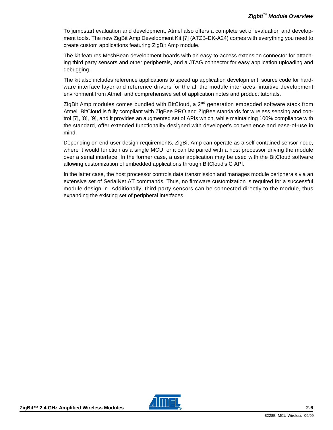To jumpstart evaluation and development, Atmel also offers a complete set of evaluation and development tools. The new ZigBit Amp Development Kit [7] (ATZB-DK-A24) comes with everything you need to create custom applications featuring ZigBit Amp module.

The kit features MeshBean development boards with an easy-to-access extension connector for attaching third party sensors and other peripherals, and a JTAG connector for easy application uploading and debugging.

The kit also includes reference applications to speed up application development, source code for hardware interface layer and reference drivers for the all the module interfaces, intuitive development environment from Atmel, and comprehensive set of application notes and product tutorials.

ZigBit Amp modules comes bundled with BitCloud, a  $2<sup>nd</sup>$  generation embedded software stack from Atmel. BitCloud is fully compliant with ZigBee PRO and ZigBee standards for wireless sensing and control [7], [8], [9], and it provides an augmented set of APIs which, while maintaining 100% compliance with the standard, offer extended functionality designed with developer's convenience and ease-of-use in mind.

Depending on end-user design requirements, ZigBit Amp can operate as a self-contained sensor node, where it would function as a single MCU, or it can be paired with a host processor driving the module over a serial interface. In the former case, a user application may be used with the BitCloud software allowing customization of embedded applications through BitCloud's C API.

In the latter case, the host processor controls data transmission and manages module peripherals via an extensive set of SerialNet AT commands. Thus, no firmware customization is required for a successful module design-in. Additionally, third-party sensors can be connected directly to the module, thus expanding the existing set of peripheral interfaces.

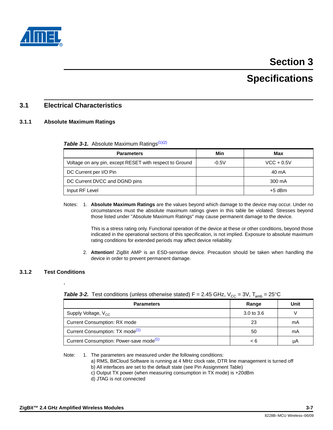<span id="page-9-0"></span>

# **Section 3**

# **Specifications**

#### <span id="page-9-1"></span>**3.1 Electrical Characteristics**

#### <span id="page-9-2"></span>**3.1.1 Absolute Maximum Ratings**

#### **Table 3-1.** Absolute Maximum Ratings<sup>(1)[\(2\)](#page-9-6)</sup>

| <b>Parameters</b>                                       | Min     | Max          |
|---------------------------------------------------------|---------|--------------|
| Voltage on any pin, except RESET with respect to Ground | $-0.5V$ | $VCC + 0.5V$ |
| DC Current per I/O Pin                                  |         | 40 mA        |
| DC Current DVCC and DGND pins                           |         | 300 mA       |
| Input RF Level                                          |         | $+5$ dBm     |

<span id="page-9-5"></span>Notes: 1. **Absolute Maximum Ratings** are the values beyond which damage to the device may occur. Under no circumstances must the absolute maximum ratings given in this table be violated. Stresses beyond those listed under "Absolute Maximum Ratings" may cause permanent damage to the device.

> This is a stress rating only. Functional operation of the device at these or other conditions, beyond those indicated in the operational sections of this specification, is not implied. Exposure to absolute maximum rating conditions for extended periods may affect device reliability.

<span id="page-9-6"></span>2. **Attention!** ZigBit AMP is an ESD-sensitive device. Precaution should be taken when handling the device in order to prevent permanent damage.

#### <span id="page-9-3"></span>**3.1.2 Test Conditions**

,

#### **Table 3-2.** Test conditions (unless otherwise stated) F = 2.45 GHz,  $V_{CC}$  = 3V, T<sub>amb</sub> = 25°C

| <b>Parameters</b>                                   | Range                 | Unit |
|-----------------------------------------------------|-----------------------|------|
| Supply Voltage, V <sub>CC</sub>                     | $3.0 \text{ to } 3.6$ |      |
| <b>Current Consumption: RX mode</b>                 | 23                    | mA   |
| Current Consumption: TX mode <sup>(1)</sup>         | 50                    | mA   |
| Current Consumption: Power-save mode <sup>(1)</sup> | < 6                   | uА   |

<span id="page-9-4"></span>Note: 1. The parameters are measured under the following conditions:

a) RMS, BitCloud Software is running at 4 MHz clock rate, DTR line management is turned off

b) All interfaces are set to the default state (see Pin Assignment Table)

c) Output TX power (when measuring consumption in TX mode) is +20dBm

d) JTAG is not connected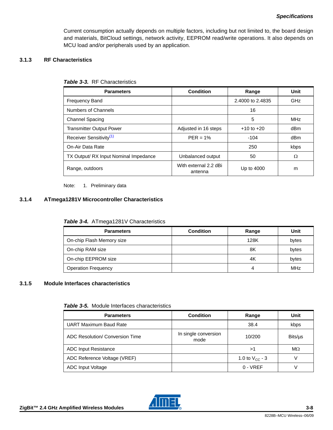Current consumption actually depends on multiple factors, including but not limited to, the board design and materials, BitCloud settings, network activity, EEPROM read/write operations. It also depends on MCU load and/or peripherals used by an application.

#### <span id="page-10-0"></span>**3.1.3 RF Characteristics**

| <b>Parameters</b>                     | Condition                        | Range            | Unit       |
|---------------------------------------|----------------------------------|------------------|------------|
| <b>Frequency Band</b>                 |                                  | 2.4000 to 2.4835 | <b>GHz</b> |
| Numbers of Channels                   |                                  | 16               |            |
| <b>Channel Spacing</b>                |                                  | 5                | <b>MHz</b> |
| <b>Transmitter Output Power</b>       | Adjusted in 16 steps             | $+10$ to $+20$   | dBm        |
| Receiver Sensitivity <sup>(1)</sup>   | $PER = 1%$                       | $-104$           | dBm        |
| On-Air Data Rate                      |                                  | 250              | kbps       |
| TX Output/ RX Input Nominal Impedance | Unbalanced output                | 50               | Ω          |
| Range, outdoors                       | With external 2.2 dBi<br>antenna | Up to 4000       | m          |

<span id="page-10-3"></span>Note: 1. Preliminary data

#### <span id="page-10-1"></span>**3.1.4 ATmega1281V Microcontroller Characteristics**

#### *Table 3-4.* ATmega1281V Characteristics

| <b>Parameters</b>          | <b>Condition</b> | Range | Unit       |
|----------------------------|------------------|-------|------------|
| On-chip Flash Memory size  |                  | 128K  | bytes      |
| On-chip RAM size           |                  | 8K    | bytes      |
| On-chip EEPROM size        |                  | 4K    | bytes      |
| <b>Operation Frequency</b> |                  | 4     | <b>MHz</b> |

#### <span id="page-10-2"></span>**3.1.5 Module Interfaces characteristics**

| <b>Parameters</b>                                               | <b>Condition</b> | Range               | Unit      |
|-----------------------------------------------------------------|------------------|---------------------|-----------|
| <b>UART Maximum Baud Rate</b>                                   |                  | 38.4                | kbps      |
| In single conversion<br>ADC Resolution/ Conversion Time<br>mode |                  | 10/200              | Bits/µs   |
| <b>ADC Input Resistance</b>                                     |                  | >1                  | $M\Omega$ |
| ADC Reference Voltage (VREF)                                    |                  | 1.0 to $V_{CC}$ - 3 |           |
| <b>ADC Input Voltage</b>                                        |                  | $0 - VREF$          |           |

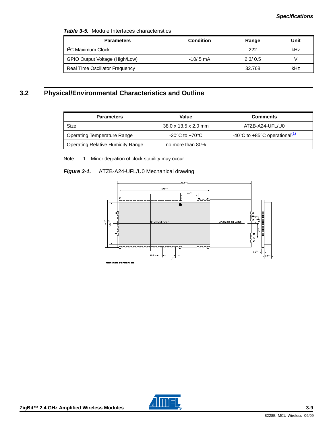*Table 3-5.* Module Interfaces characteristics

| <b>Parameters</b>                     | <b>Condition</b> | Range   | Unit |
|---------------------------------------|------------------|---------|------|
| I <sup>2</sup> C Maximum Clock        |                  | 222     | kHz  |
| GPIO Output Voltage (High/Low)        | $-10/5$ mA       | 2.3/0.5 |      |
| <b>Real Time Oscillator Frequency</b> |                  | 32.768  | kHz  |

### <span id="page-11-0"></span>**3.2 Physical/Environmental Characteristics and Outline**

| <b>Parameters</b>                        | Value                              | <b>Comments</b>                                               |
|------------------------------------------|------------------------------------|---------------------------------------------------------------|
| Size                                     | $38.0 \times 13.5 \times 2.0$ mm   | ATZB-A24-UFL/U0                                               |
| Operating Temperature Range              | -20 $\degree$ C to +70 $\degree$ C | -40 $\degree$ C to +85 $\degree$ C operational <sup>(1)</sup> |
| <b>Operating Relative Humidity Range</b> | no more than 80%                   |                                                               |

<span id="page-11-1"></span>Note: 1. Minor degration of clock stability may occur.



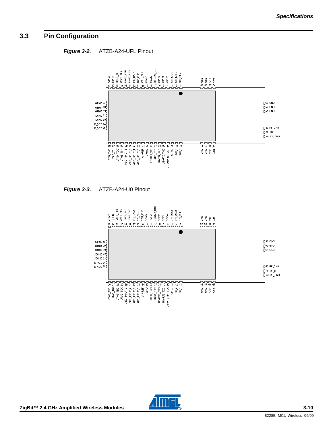### <span id="page-12-0"></span>**3.3 Pin Configuration**





*Figure 3-3.* ATZB-A24-U0 Pinout



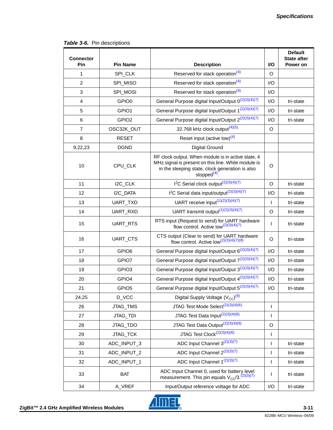*Table 3-6.* Pin descriptions

| <b>Connector</b><br><b>Pin</b> | <b>Pin Name</b>   | <b>Description</b>                                                                                                                                                                       | <b>VO</b>    | <b>Default</b><br><b>State after</b><br>Power on |
|--------------------------------|-------------------|------------------------------------------------------------------------------------------------------------------------------------------------------------------------------------------|--------------|--------------------------------------------------|
| 1                              | SPI_CLK           | Reserved for stack operation <sup>(4)</sup>                                                                                                                                              |              |                                                  |
| $\overline{2}$                 | SPI_MISO          | Reserved for stack operation <sup>(4)</sup>                                                                                                                                              | I/O          |                                                  |
| 3                              | SPI_MOSI          | Reserved for stack operation <sup>(4)</sup>                                                                                                                                              | I/O          |                                                  |
| 4                              | GPIO0             | General Purpose digital Input/Output 0 <sup>(2)(3)(4)(7)</sup>                                                                                                                           | I/O          | tri-state                                        |
| 5                              | GPIO1             | General Purpose digital Input/Output 1 <sup>(2)(3)(4)(7)</sup>                                                                                                                           | I/O          | tri-state                                        |
| 6                              | GPIO <sub>2</sub> | General Purpose digital Input/Output 2 <sup>(2)(3)(4)(7)</sup>                                                                                                                           | I/O          | tri-state                                        |
| $\overline{7}$                 | OSC32K_OUT        | 32.768 kHz clock output $(4)(5)$                                                                                                                                                         | O            |                                                  |
| 8                              | <b>RESET</b>      | Reset input (active low) $(4)$                                                                                                                                                           |              |                                                  |
| 9,22,23                        | <b>DGND</b>       | <b>Digital Ground</b>                                                                                                                                                                    |              |                                                  |
| 10                             | CPU_CLK           | RF clock output. When module is in active state, 4<br>MHz signal is present on this line. While module is<br>in the sleeping state, clock generation is also<br>stopped $\binom{4}{1}$ . | O            |                                                  |
| 11                             | I2C_CLK           | $l^2C$ Serial clock output <sup>(2)(3)(4)(7)</sup>                                                                                                                                       | O            | tri-state                                        |
| 12                             | I2C_DATA          | l <sup>2</sup> C Serial data input/output <sup>(2)(3)(4)(7)</sup>                                                                                                                        | 1/O          | tri-state                                        |
| 13                             | UART_TXD          | UART receive input $(1)(2)(3)(4)(7)$                                                                                                                                                     |              | tri-state                                        |
| 14                             | UART_RXD          | UART transmit output <sup>(1)(2)(3)(4)(7)</sup>                                                                                                                                          | O            | tri-state                                        |
| 15                             | UART_RTS          | RTS input (Request to send) for UART hardware<br>flow control. Active $low^{(2)(3)(4)(7)}$                                                                                               | L            | tri-state                                        |
| 16                             | UART_CTS          | CTS output (Clear to send) for UART hardware<br>flow control. Active $low^{(2)(3)(4)(7)(8)}$                                                                                             | O            | tri-state                                        |
| 17                             | GPIO6             | General Purpose digital Input/Output 6 <sup>(2)(3)(4)(7)</sup>                                                                                                                           | I/O          | tri-state                                        |
| 18                             | GPIO7             | General Purpose digital Input/Output 7 <sup>(2)(3)(4)(7)</sup>                                                                                                                           | I/O          | tri-state                                        |
| 19                             | GPIO <sub>3</sub> | General Purpose digital Input/Output 3 <sup>(2)(3)(4)(7)</sup>                                                                                                                           | 1/O          | tri-state                                        |
| 20                             | GPIO4             | General Purpose digital Input/Output 4 <sup>(2)(3)(4)(7)</sup>                                                                                                                           | I/O          | tri-state                                        |
| 21                             | GPIO <sub>5</sub> | General Purpose digital Input/Output 5 <sup>(2)(3)(4)(7)</sup>                                                                                                                           | I/O          | tri-state                                        |
| 24,25                          | D_VCC             | Digital Supply Voltage $(V_{CC})^{(9)}$                                                                                                                                                  |              |                                                  |
| 26                             | JTAG_TMS          | JTAG Test Mode Select <sup>(2)(3)(4)(6)</sup>                                                                                                                                            | I            |                                                  |
| 27                             | JTAG_TDI          | JTAG Test Data Input <sup>(2)(3)(4)(6)</sup>                                                                                                                                             | $\mathbf{I}$ |                                                  |
| 28                             | JTAG_TDO          | JTAG Test Data Output <sup>(2)(3)(4)(6)</sup>                                                                                                                                            | O            |                                                  |
| 29                             | JTAG_TCK          | JTAG Test Clock <sup>(2)(3)(4)(6)</sup>                                                                                                                                                  | I            |                                                  |
| 30                             | ADC_INPUT_3       | ADC Input Channel 3 <sup>(2)(3)(7)</sup>                                                                                                                                                 | I            | tri-state                                        |
| 31                             | ADC_INPUT_2       | ADC Input Channel 2 <sup>(2)(3)(7)</sup>                                                                                                                                                 | I            | tri-state                                        |
| 32                             | ADC_INPUT_1       | ADC Input Channel 1 <sup>(2)(3)(7)</sup>                                                                                                                                                 |              | tri-state                                        |
| 33                             | <b>BAT</b>        | ADC Input Channel 0, used for battery level<br>measurement. This pin equals $V_{CC}/3$ . $(2)(3)(7)$                                                                                     |              | tri-state                                        |
| 34                             | A_VREF            | Input/Output reference voltage for ADC                                                                                                                                                   | I/O          | tri-state                                        |

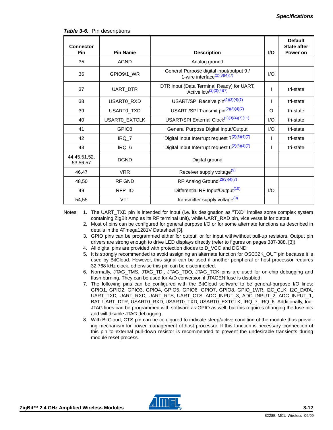*Table 3-6.* Pin descriptions

| <b>Connector</b>            |                   |                                                                                      |           | <b>Default</b><br><b>State after</b> |
|-----------------------------|-------------------|--------------------------------------------------------------------------------------|-----------|--------------------------------------|
| <b>Pin</b>                  | <b>Pin Name</b>   | <b>Description</b>                                                                   | <b>VO</b> | Power on                             |
| 35                          | <b>AGND</b>       | Analog ground                                                                        |           |                                      |
| 36                          | GPIO9/1 WR        | General Purpose digital input/output 9 /<br>1-wire interface <sup>(2)(3)(4)(7)</sup> | 1/O       |                                      |
| 37                          | UART_DTR          | DTR input (Data Terminal Ready) for UART.<br>Active $low^{(2)(3)(4)(7)}$             |           | tri-state                            |
| 38                          | <b>USARTO RXD</b> | USART/SPI Receive pin <sup>(2)(3)(4)(7)</sup>                                        |           | tri-state                            |
| 39                          | USARTO_TXD        | USART /SPI Transmit pin <sup>(2)(3)(4)(7)</sup>                                      | O         | tri-state                            |
| 40                          | USART0_EXTCLK     | USART/SPI External Clock <sup>(2)(3)(4)(7)(11)</sup>                                 | 1/O       | tri-state                            |
| 41                          | GPIO <sub>8</sub> | General Purpose Digital Input/Output                                                 | 1/O       | tri-state                            |
| 42                          | IRQ_7             | Digital Input Interrupt request $7^{(2)(3)(4)(7)}$                                   |           | tri-state                            |
| 43                          | IRQ <sub>6</sub>  | Digital Input Interrupt request 6 <sup>(2)(3)(4)(7)</sup>                            |           | tri-state                            |
| 44, 45, 51, 52,<br>53,56,57 | <b>DGND</b>       | Digital ground                                                                       |           |                                      |
| 46,47                       | <b>VRR</b>        | Receiver supply voltage <sup>(9)</sup>                                               |           |                                      |
| 48,50                       | <b>RF GND</b>     | RF Analog Ground <sup>(2)(3)(4)(7)</sup>                                             |           |                                      |
| 49                          | RFP_IO            | Differential RF Input/Output <sup>(10)</sup>                                         | 1/O       |                                      |
| 54,55                       | <b>VTT</b>        | Transmitter supply voltage <sup>(9)</sup>                                            |           |                                      |

<span id="page-14-6"></span><span id="page-14-1"></span>Notes: 1. The UART\_TXD pin is intended for input (i.e. its designation as "TXD" implies some complex system containing ZigBit Amp as its RF terminal unit), while UART\_RXD pin, vice versa is for output.

- 2. Most of pins can be configured for general purpose I/O or for some alternate functions as described in details in the ATmega1281V Datasheet [3].
- <span id="page-14-2"></span>3. GPIO pins can be programmed either for output, or for input with/without pull-up resistors. Output pin drivers are strong enough to drive LED displays directly (refer to figures on pages 387-388, [3]).
- <span id="page-14-0"></span>4. All digital pins are provided with protection diodes to D\_VCC and DGND
- <span id="page-14-4"></span>5. It is strongly recommended to avoid assigning an alternate function for OSC32K\_OUT pin because it is used by BitCloud. However, this signal can be used if another peripheral or host processor requires 32.768 kHz clock, otherwise this pin can be disconnected.
- <span id="page-14-5"></span>6. Normally, JTAG\_TMS, JTAG\_TDI, JTAG\_TDO, JTAG\_TCK pins are used for on-chip debugging and flash burning. They can be used for A/D conversion if JTAGEN fuse is disabled.
- <span id="page-14-3"></span>7. The following pins can be configured with the BitCloud software to be general-purpose I/O lines: GPIO1, GPIO2, GPIO3, GPIO4, GPIO5, GPIO6, GPIO7, GPIO8, GPIO\_1WR, I2C\_CLK, I2C\_DATA, UART\_TXD, UART\_RXD, UART\_RTS, UART\_CTS, ADC\_INPUT\_3, ADC\_INPUT\_2, ADC\_INPUT\_1, BAT, UART\_DTR, USART0\_RXD, USART0\_TXD, USART0\_EXTCLK, IRQ\_7, IRQ\_6. Additionally, four JTAG lines can be programmed with software as GPIO as well, but this requires changing the fuse bits and will disable JTAG debugging.
- <span id="page-14-7"></span>8. With BitCloud, CTS pin can be configured to indicate sleep/active condition of the module thus providing mechanism for power management of host processor. If this function is necessary, connection of this pin to external pull-down resistor is recommended to prevent the undesirable transients during module reset process.

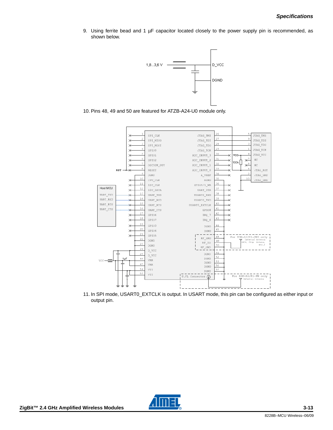<span id="page-15-0"></span>9. Using ferrite bead and 1 µF capacitor located closely to the power supply pin is recommended, as shown below.



<span id="page-15-1"></span>10. Pins 48, 49 and 50 are featured for ATZB-A24-U0 module only.



<span id="page-15-2"></span>11. In SPI mode, USART0\_EXTCLK is output. In USART mode, this pin can be configured as either input or output pin.

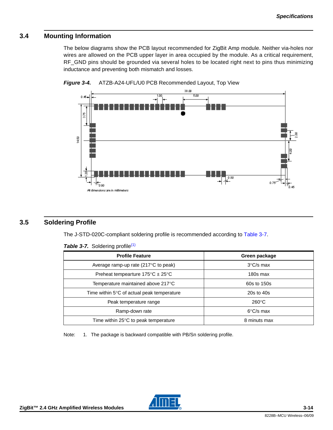#### <span id="page-16-0"></span>**3.4 Mounting Information**

The below diagrams show the PCB layout recommended for ZigBit Amp module. Neither via-holes nor wires are allowed on the PCB upper layer in area occupied by the module. As a critical requirement, RF\_GND pins should be grounded via several holes to be located right next to pins thus minimizing inductance and preventing both mismatch and losses.



*Figure 3-4.* ATZB-A24-UFL/U0 PCB Recommended Layout, Top View

### <span id="page-16-1"></span>**3.5 Soldering Profile**

The J-STD-020C-compliant soldering profile is recommended according to [Table 3-7.](#page-16-2)

| ິ່                                                   |                     |
|------------------------------------------------------|---------------------|
| <b>Profile Feature</b>                               | Green package       |
| Average ramp-up rate $(217^{\circ}C)$ to peak)       | $3^{\circ}$ C/s max |
| Preheat tempearture $175^{\circ}$ C ± 25°C           | 180s max            |
| Temperature maintained above 217°C                   | 60s to 150s         |
| Time within $5^{\circ}$ C of actual peak temperature | $20s$ to $40s$      |
| Peak temperature range                               | $260^{\circ}$ C     |
| Ramp-down rate                                       | $6^{\circ}$ C/s max |
| Time within $25^{\circ}$ C to peak temperature       | 8 minuts max        |
|                                                      |                     |

<span id="page-16-2"></span>**Table 3-7.** Soldering profile<sup>[\(1\)](#page-16-3)</sup>

<span id="page-16-3"></span>Note: 1. The package is backward compatible with PB/Sn soldering profile.

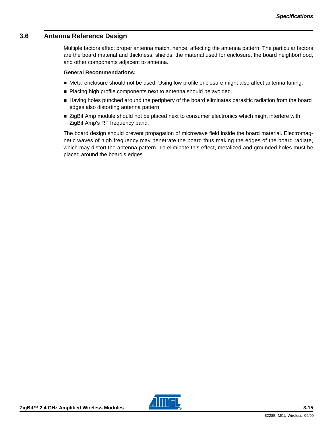#### <span id="page-17-0"></span>**3.6 Antenna Reference Design**

Multiple factors affect proper antenna match, hence, affecting the antenna pattern. The particular factors are the board material and thickness, shields, the material used for enclosure, the board neighborhood, and other components adjacent to antenna.

#### **General Recommendations:**

- Metal enclosure should not be used. Using low profile enclosure might also affect antenna tuning.
- Placing high profile components next to antenna should be avoided.
- Having holes punched around the periphery of the board eliminates parasitic radiation from the board edges also distorting antenna pattern.
- ZigBit Amp module should not be placed next to consumer electronics which might interfere with ZigBit Amp's RF frequency band.

The board design should prevent propagation of microwave field inside the board material. Electromagnetic waves of high frequency may penetrate the board thus making the edges of the board radiate, which may distort the antenna pattern. To eliminate this effect, metalized and grounded holes must be placed around the board's edges.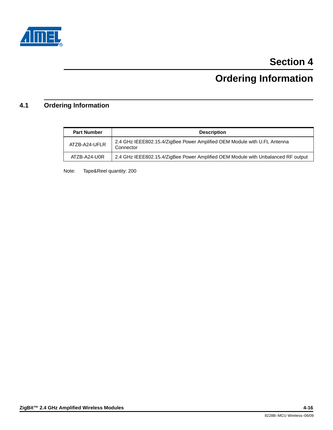<span id="page-18-0"></span>

# **Section 4**

# **Ordering Information**

### <span id="page-18-1"></span>**4.1 Ordering Information**

| <b>Part Number</b> | <b>Description</b>                                                                    |
|--------------------|---------------------------------------------------------------------------------------|
| ATZB-A24-UFLR      | 2.4 GHz IEEE802.15.4/ZigBee Power Amplified OEM Module with U.FL Antenna<br>Connector |
| ATZB-A24-U0R       | 2.4 GHz IEEE802.15.4/ZigBee Power Amplified OEM Module with Unbalanced RF output      |
|                    |                                                                                       |

Note: Tape&Reel quantity: 200